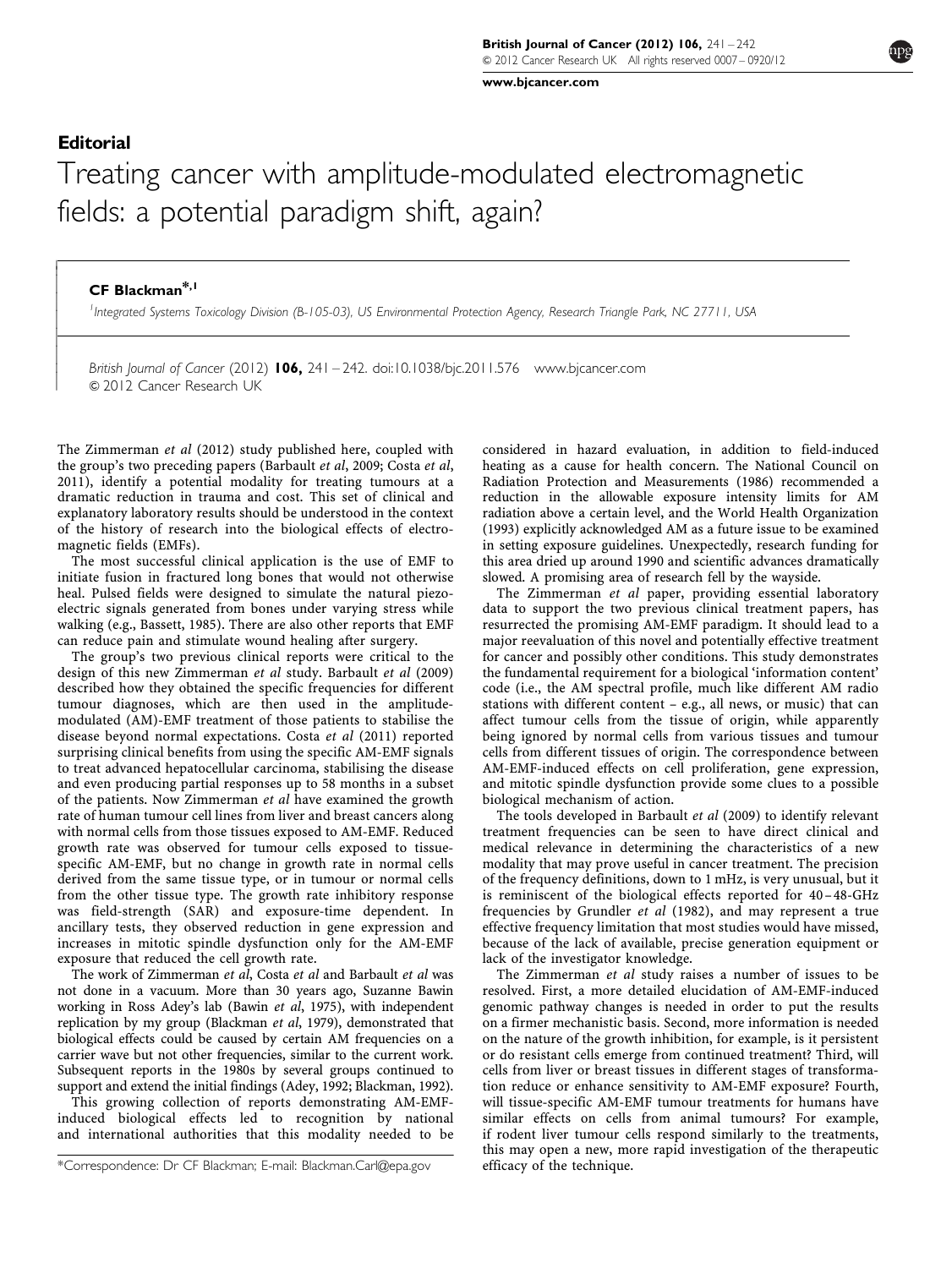[www.bjcancer.com](http://www.bjcancer.com)

## **Editorial**

! ! ! ! ! ! ! ! ! ! ! ! ! ! !

# Treating cancer with amplitude-modulated electromagnetic fields: a potential paradigm shift, again?

## CF Blackman\*,1

<sup>1</sup>Integrated Systems Toxicology Division (B-105-03), US Environmental Protection Agency, Research Triangle Park, NC 27711, USA

British Journal of Cancer (2012) 106, 241 – 242. doi[:10.1038/bjc.2011.576](http://dx.doi.org/10.1038/bjc.2011.576) [www.bjcancer.com](http://www.bjcancer.com) & 2012 Cancer Research UK

The [Zimmerman](#page-1-0) et al (2012) study published here, coupled with the group's two preceding papers ([Barbault](#page-1-0) et al, 2009; [Costa](#page-1-0) et al, [2011](#page-1-0)), identify a potential modality for treating tumours at a dramatic reduction in trauma and cost. This set of clinical and explanatory laboratory results should be understood in the context of the history of research into the biological effects of electromagnetic fields (EMFs).

The most successful clinical application is the use of EMF to initiate fusion in fractured long bones that would not otherwise heal. Pulsed fields were designed to simulate the natural piezoelectric signals generated from bones under varying stress while walking (e.g., [Bassett, 1985](#page-1-0)). There are also other reports that EMF can reduce pain and stimulate wound healing after surgery.

The group's two previous clinical reports were critical to the design of this new Zimmerman et al study. [Barbault](#page-1-0) et al (2009) described how they obtained the specific frequencies for different tumour diagnoses, which are then used in the amplitudemodulated (AM)-EMF treatment of those patients to stabilise the disease beyond normal expectations. Costa et al [\(2011\)](#page-1-0) reported surprising clinical benefits from using the specific AM-EMF signals to treat advanced hepatocellular carcinoma, stabilising the disease and even producing partial responses up to 58 months in a subset of the patients. Now Zimmerman et al have examined the growth rate of human tumour cell lines from liver and breast cancers along with normal cells from those tissues exposed to AM-EMF. Reduced growth rate was observed for tumour cells exposed to tissuespecific AM-EMF, but no change in growth rate in normal cells derived from the same tissue type, or in tumour or normal cells from the other tissue type. The growth rate inhibitory response was field-strength (SAR) and exposure-time dependent. In ancillary tests, they observed reduction in gene expression and increases in mitotic spindle dysfunction only for the AM-EMF exposure that reduced the cell growth rate.

The work of Zimmerman et al, Costa et al and Barbault et al was not done in a vacuum. More than 30 years ago, Suzanne Bawin working in Ross Adey's lab (Bawin et al[, 1975\)](#page-1-0), with independent replication by my group ([Blackman](#page-1-0) et al, 1979), demonstrated that biological effects could be caused by certain AM frequencies on a carrier wave but not other frequencies, similar to the current work. Subsequent reports in the 1980s by several groups continued to support and extend the initial findings ([Adey, 1992](#page-1-0); [Blackman, 1992\)](#page-1-0).

This growing collection of reports demonstrating AM-EMFinduced biological effects led to recognition by national and international authorities that this modality needed to be considered in hazard evaluation, in addition to field-induced heating as a cause for health concern. The [National Council on](#page-1-0) [Radiation Protection and Measurements \(1986\)](#page-1-0) recommended a reduction in the allowable exposure intensity limits for AM radiation above a certain level, and the [World Health Organization](#page-1-0) [\(1993\)](#page-1-0) explicitly acknowledged AM as a future issue to be examined in setting exposure guidelines. Unexpectedly, research funding for this area dried up around 1990 and scientific advances dramatically slowed. A promising area of research fell by the wayside.

The Zimmerman et al paper, providing essential laboratory data to support the two previous clinical treatment papers, has resurrected the promising AM-EMF paradigm. It should lead to a major reevaluation of this novel and potentially effective treatment for cancer and possibly other conditions. This study demonstrates the fundamental requirement for a biological 'information content' code (i.e., the AM spectral profile, much like different AM radio stations with different content – e.g., all news, or music) that can affect tumour cells from the tissue of origin, while apparently being ignored by normal cells from various tissues and tumour cells from different tissues of origin. The correspondence between AM-EMF-induced effects on cell proliferation, gene expression, and mitotic spindle dysfunction provide some clues to a possible biological mechanism of action.

The tools developed in [Barbault](#page-1-0) et al (2009) to identify relevant treatment frequencies can be seen to have direct clinical and medical relevance in determining the characteristics of a new modality that may prove useful in cancer treatment. The precision of the frequency definitions, down to 1 mHz, is very unusual, but it is reminiscent of the biological effects reported for 40 –48-GHz frequencies by [Grundler](#page-1-0) et al (1982), and may represent a true effective frequency limitation that most studies would have missed, because of the lack of available, precise generation equipment or lack of the investigator knowledge.

The Zimmerman *et al* study raises a number of issues to be resolved. First, a more detailed elucidation of AM-EMF-induced genomic pathway changes is needed in order to put the results on a firmer mechanistic basis. Second, more information is needed on the nature of the growth inhibition, for example, is it persistent or do resistant cells emerge from continued treatment? Third, will cells from liver or breast tissues in different stages of transformation reduce or enhance sensitivity to AM-EMF exposure? Fourth, will tissue-specific AM-EMF tumour treatments for humans have similar effects on cells from animal tumours? For example, if rodent liver tumour cells respond similarly to the treatments, this may open a new, more rapid investigation of the therapeutic

<sup>\*</sup>Correspondence: Dr CF Blackman; E-mail: [Blackman.Carl@epa.gov](mailto:Blackman.Carl@epa.gov) efficacy of the technique.